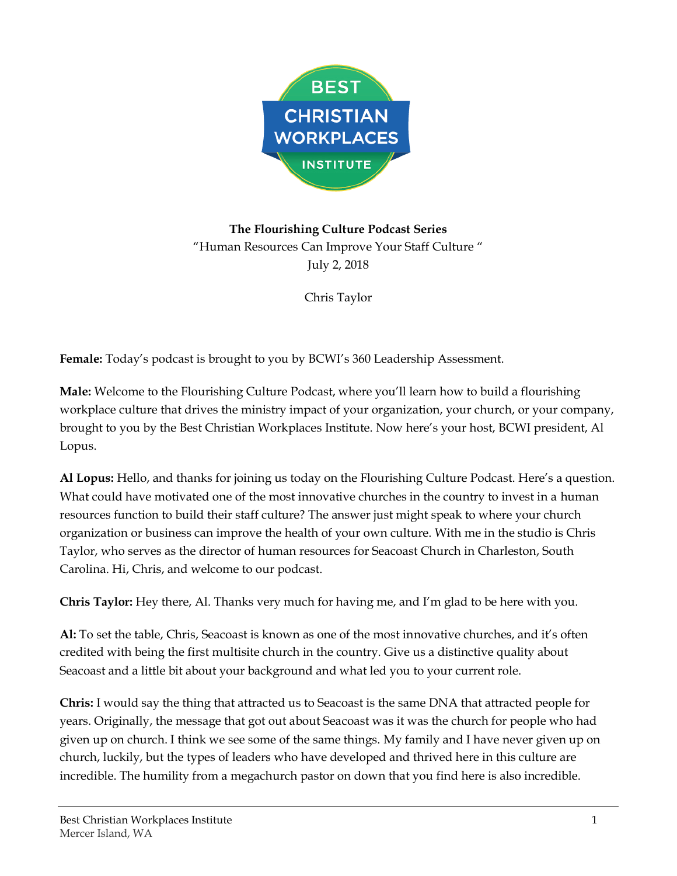

**The Flourishing Culture Podcast Series** "Human Resources Can Improve Your Staff Culture " July 2, 2018

Chris Taylor

**Female:** Today's podcast is brought to you by BCWI's 360 Leadership Assessment.

**Male:** Welcome to the Flourishing Culture Podcast, where you'll learn how to build a flourishing workplace culture that drives the ministry impact of your organization, your church, or your company, brought to you by the Best Christian Workplaces Institute. Now here's your host, BCWI president, Al Lopus.

**Al Lopus:** Hello, and thanks for joining us today on the Flourishing Culture Podcast. Here's a question. What could have motivated one of the most innovative churches in the country to invest in a human resources function to build their staff culture? The answer just might speak to where your church organization or business can improve the health of your own culture. With me in the studio is Chris Taylor, who serves as the director of human resources for Seacoast Church in Charleston, South Carolina. Hi, Chris, and welcome to our podcast.

**Chris Taylor:** Hey there, Al. Thanks very much for having me, and I'm glad to be here with you.

**Al:** To set the table, Chris, Seacoast is known as one of the most innovative churches, and it's often credited with being the first multisite church in the country. Give us a distinctive quality about Seacoast and a little bit about your background and what led you to your current role.

**Chris:** I would say the thing that attracted us to Seacoast is the same DNA that attracted people for years. Originally, the message that got out about Seacoast was it was the church for people who had given up on church. I think we see some of the same things. My family and I have never given up on church, luckily, but the types of leaders who have developed and thrived here in this culture are incredible. The humility from a megachurch pastor on down that you find here is also incredible.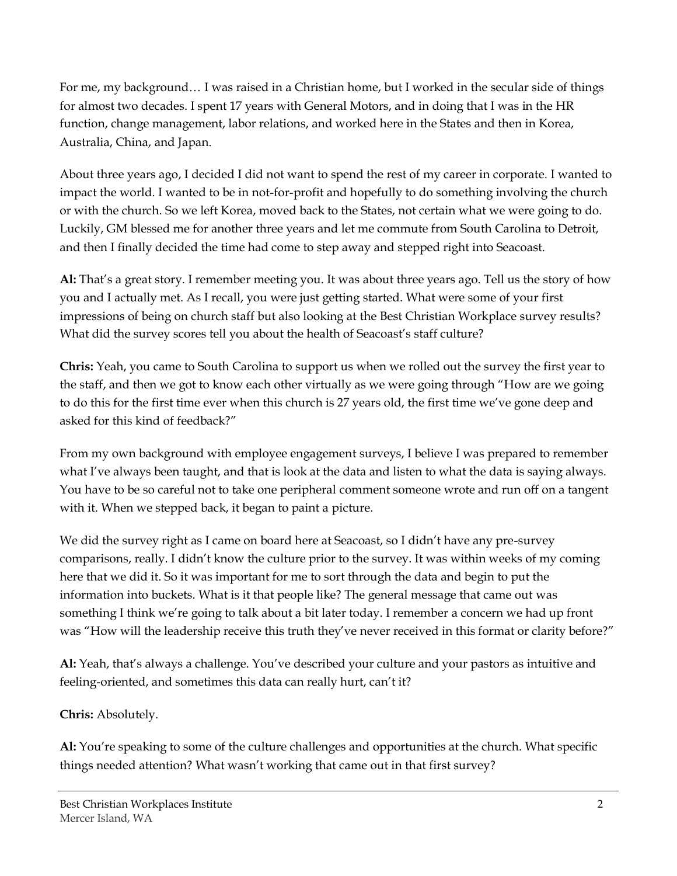For me, my background… I was raised in a Christian home, but I worked in the secular side of things for almost two decades. I spent 17 years with General Motors, and in doing that I was in the HR function, change management, labor relations, and worked here in the States and then in Korea, Australia, China, and Japan.

About three years ago, I decided I did not want to spend the rest of my career in corporate. I wanted to impact the world. I wanted to be in not-for-profit and hopefully to do something involving the church or with the church. So we left Korea, moved back to the States, not certain what we were going to do. Luckily, GM blessed me for another three years and let me commute from South Carolina to Detroit, and then I finally decided the time had come to step away and stepped right into Seacoast.

**Al:** That's a great story. I remember meeting you. It was about three years ago. Tell us the story of how you and I actually met. As I recall, you were just getting started. What were some of your first impressions of being on church staff but also looking at the Best Christian Workplace survey results? What did the survey scores tell you about the health of Seacoast's staff culture?

**Chris:** Yeah, you came to South Carolina to support us when we rolled out the survey the first year to the staff, and then we got to know each other virtually as we were going through "How are we going to do this for the first time ever when this church is 27 years old, the first time we've gone deep and asked for this kind of feedback?"

From my own background with employee engagement surveys, I believe I was prepared to remember what I've always been taught, and that is look at the data and listen to what the data is saying always. You have to be so careful not to take one peripheral comment someone wrote and run off on a tangent with it. When we stepped back, it began to paint a picture.

We did the survey right as I came on board here at Seacoast, so I didn't have any pre-survey comparisons, really. I didn't know the culture prior to the survey. It was within weeks of my coming here that we did it. So it was important for me to sort through the data and begin to put the information into buckets. What is it that people like? The general message that came out was something I think we're going to talk about a bit later today. I remember a concern we had up front was "How will the leadership receive this truth they've never received in this format or clarity before?"

**Al:** Yeah, that's always a challenge. You've described your culture and your pastors as intuitive and feeling-oriented, and sometimes this data can really hurt, can't it?

**Chris:** Absolutely.

**Al:** You're speaking to some of the culture challenges and opportunities at the church. What specific things needed attention? What wasn't working that came out in that first survey?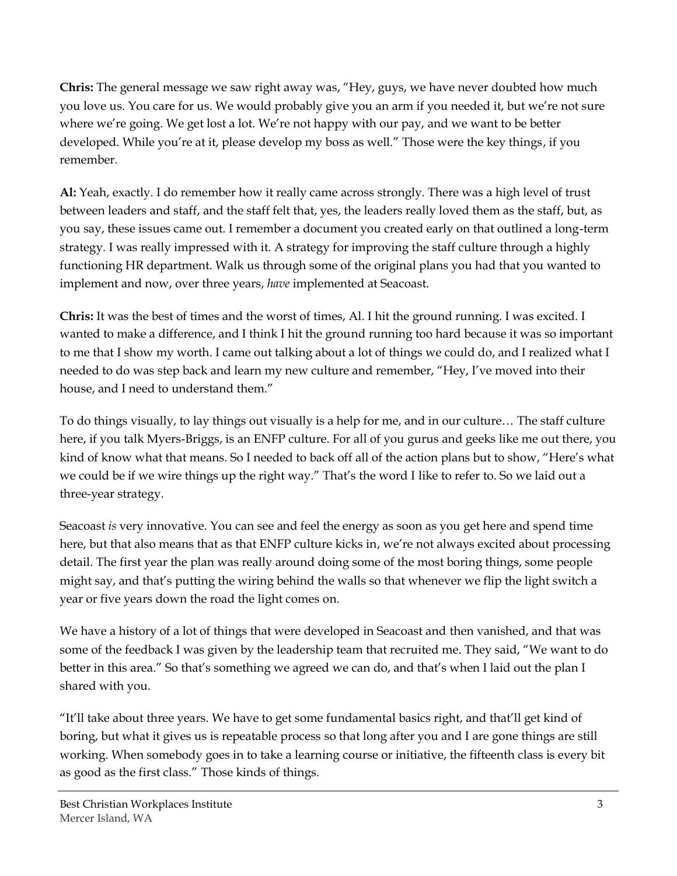**Chris:** The general message we saw right away was, "Hey, guys, we have never doubted how much you love us. You care for us. We would probably give you an arm if you needed it, but we're not sure where we're going. We get lost a lot. We're not happy with our pay, and we want to be better developed. While you're at it, please develop my boss as well." Those were the key things, if you remember.

**Al:** Yeah, exactly. I do remember how it really came across strongly. There was a high level of trust between leaders and staff, and the staff felt that, yes, the leaders really loved them as the staff, but, as you say, these issues came out. I remember a document you created early on that outlined a long-term strategy. I was really impressed with it. A strategy for improving the staff culture through a highly functioning HR department. Walk us through some of the original plans you had that you wanted to implement and now, over three years, *have* implemented at Seacoast.

**Chris:** It was the best of times and the worst of times, Al. I hit the ground running. I was excited. I wanted to make a difference, and I think I hit the ground running too hard because it was so important to me that I show my worth. I came out talking about a lot of things we could do, and I realized what I needed to do was step back and learn my new culture and remember, "Hey, I've moved into their house, and I need to understand them."

To do things visually, to lay things out visually is a help for me, and in our culture… The staff culture here, if you talk Myers-Briggs, is an ENFP culture. For all of you gurus and geeks like me out there, you kind of know what that means. So I needed to back off all of the action plans but to show, "Here's what we could be if we wire things up the right way." That's the word I like to refer to. So we laid out a three-year strategy.

Seacoast *is* very innovative. You can see and feel the energy as soon as you get here and spend time here, but that also means that as that ENFP culture kicks in, we're not always excited about processing detail. The first year the plan was really around doing some of the most boring things, some people might say, and that's putting the wiring behind the walls so that whenever we flip the light switch a year or five years down the road the light comes on.

We have a history of a lot of things that were developed in Seacoast and then vanished, and that was some of the feedback I was given by the leadership team that recruited me. They said, "We want to do better in this area." So that's something we agreed we can do, and that's when I laid out the plan I shared with you.

"It'll take about three years. We have to get some fundamental basics right, and that'll get kind of boring, but what it gives us is repeatable process so that long after you and I are gone things are still working. When somebody goes in to take a learning course or initiative, the fifteenth class is every bit as good as the first class." Those kinds of things.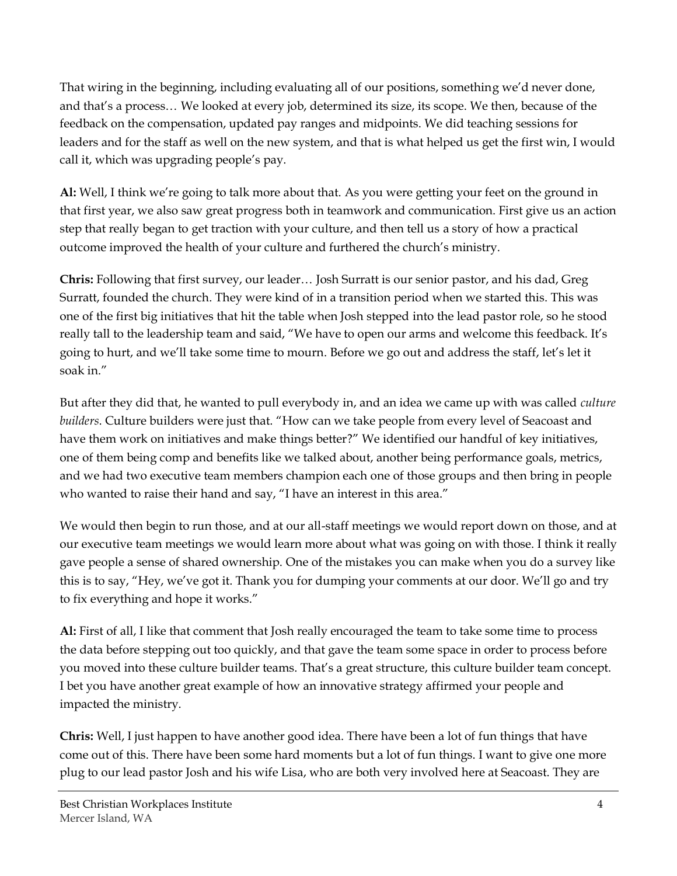That wiring in the beginning, including evaluating all of our positions, something we'd never done, and that's a process… We looked at every job, determined its size, its scope. We then, because of the feedback on the compensation, updated pay ranges and midpoints. We did teaching sessions for leaders and for the staff as well on the new system, and that is what helped us get the first win, I would call it, which was upgrading people's pay.

**Al:** Well, I think we're going to talk more about that. As you were getting your feet on the ground in that first year, we also saw great progress both in teamwork and communication. First give us an action step that really began to get traction with your culture, and then tell us a story of how a practical outcome improved the health of your culture and furthered the church's ministry.

**Chris:** Following that first survey, our leader… Josh Surratt is our senior pastor, and his dad, Greg Surratt, founded the church. They were kind of in a transition period when we started this. This was one of the first big initiatives that hit the table when Josh stepped into the lead pastor role, so he stood really tall to the leadership team and said, "We have to open our arms and welcome this feedback. It's going to hurt, and we'll take some time to mourn. Before we go out and address the staff, let's let it soak in."

But after they did that, he wanted to pull everybody in, and an idea we came up with was called *culture builders*. Culture builders were just that. "How can we take people from every level of Seacoast and have them work on initiatives and make things better?" We identified our handful of key initiatives, one of them being comp and benefits like we talked about, another being performance goals, metrics, and we had two executive team members champion each one of those groups and then bring in people who wanted to raise their hand and say, "I have an interest in this area."

We would then begin to run those, and at our all-staff meetings we would report down on those, and at our executive team meetings we would learn more about what was going on with those. I think it really gave people a sense of shared ownership. One of the mistakes you can make when you do a survey like this is to say, "Hey, we've got it. Thank you for dumping your comments at our door. We'll go and try to fix everything and hope it works."

**Al:** First of all, I like that comment that Josh really encouraged the team to take some time to process the data before stepping out too quickly, and that gave the team some space in order to process before you moved into these culture builder teams. That's a great structure, this culture builder team concept. I bet you have another great example of how an innovative strategy affirmed your people and impacted the ministry.

**Chris:** Well, I just happen to have another good idea. There have been a lot of fun things that have come out of this. There have been some hard moments but a lot of fun things. I want to give one more plug to our lead pastor Josh and his wife Lisa, who are both very involved here at Seacoast. They are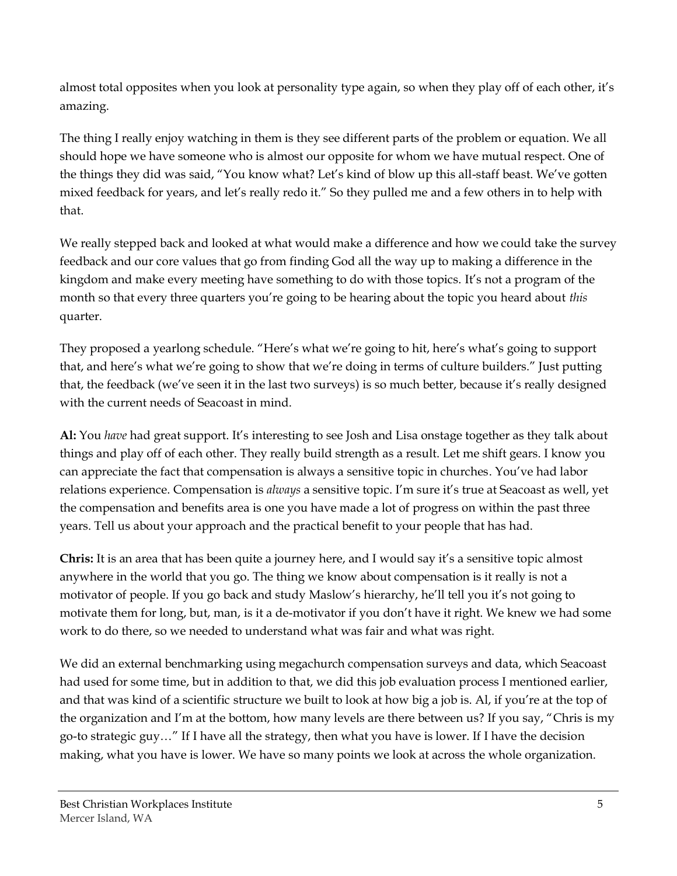almost total opposites when you look at personality type again, so when they play off of each other, it's amazing.

The thing I really enjoy watching in them is they see different parts of the problem or equation. We all should hope we have someone who is almost our opposite for whom we have mutual respect. One of the things they did was said, "You know what? Let's kind of blow up this all-staff beast. We've gotten mixed feedback for years, and let's really redo it." So they pulled me and a few others in to help with that.

We really stepped back and looked at what would make a difference and how we could take the survey feedback and our core values that go from finding God all the way up to making a difference in the kingdom and make every meeting have something to do with those topics. It's not a program of the month so that every three quarters you're going to be hearing about the topic you heard about *this* quarter.

They proposed a yearlong schedule. "Here's what we're going to hit, here's what's going to support that, and here's what we're going to show that we're doing in terms of culture builders." Just putting that, the feedback (we've seen it in the last two surveys) is so much better, because it's really designed with the current needs of Seacoast in mind.

**Al:** You *have* had great support. It's interesting to see Josh and Lisa onstage together as they talk about things and play off of each other. They really build strength as a result. Let me shift gears. I know you can appreciate the fact that compensation is always a sensitive topic in churches. You've had labor relations experience. Compensation is *always* a sensitive topic. I'm sure it's true at Seacoast as well, yet the compensation and benefits area is one you have made a lot of progress on within the past three years. Tell us about your approach and the practical benefit to your people that has had.

**Chris:** It is an area that has been quite a journey here, and I would say it's a sensitive topic almost anywhere in the world that you go. The thing we know about compensation is it really is not a motivator of people. If you go back and study Maslow's hierarchy, he'll tell you it's not going to motivate them for long, but, man, is it a de-motivator if you don't have it right. We knew we had some work to do there, so we needed to understand what was fair and what was right.

We did an external benchmarking using megachurch compensation surveys and data, which Seacoast had used for some time, but in addition to that, we did this job evaluation process I mentioned earlier, and that was kind of a scientific structure we built to look at how big a job is. Al, if you're at the top of the organization and I'm at the bottom, how many levels are there between us? If you say, "Chris is my go-to strategic guy…" If I have all the strategy, then what you have is lower. If I have the decision making, what you have is lower. We have so many points we look at across the whole organization.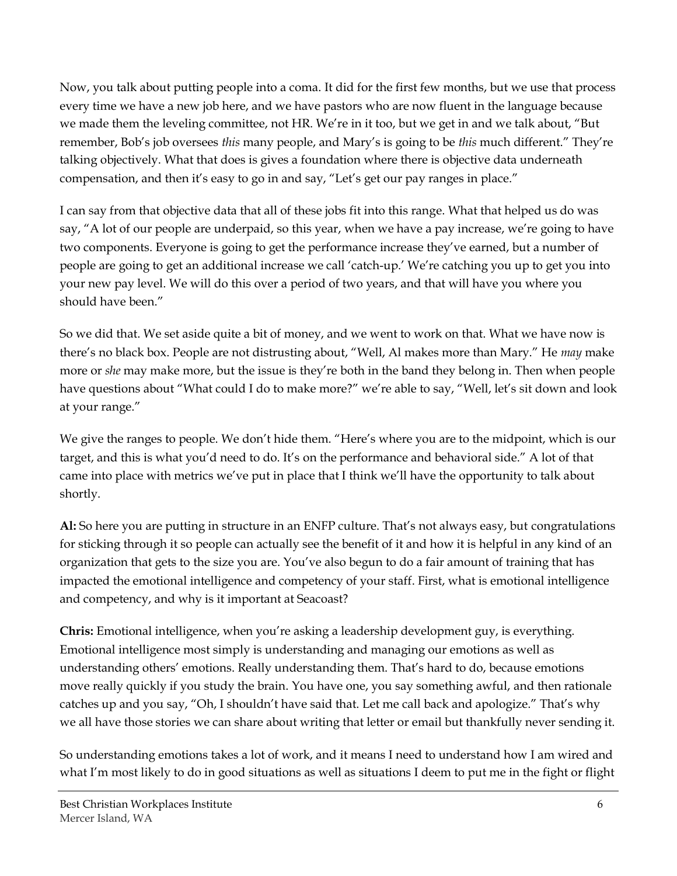Now, you talk about putting people into a coma. It did for the first few months, but we use that process every time we have a new job here, and we have pastors who are now fluent in the language because we made them the leveling committee, not HR. We're in it too, but we get in and we talk about, "But remember, Bob's job oversees *this* many people, and Mary's is going to be *this* much different." They're talking objectively. What that does is gives a foundation where there is objective data underneath compensation, and then it's easy to go in and say, "Let's get our pay ranges in place."

I can say from that objective data that all of these jobs fit into this range. What that helped us do was say, "A lot of our people are underpaid, so this year, when we have a pay increase, we're going to have two components. Everyone is going to get the performance increase they've earned, but a number of people are going to get an additional increase we call 'catch-up.' We're catching you up to get you into your new pay level. We will do this over a period of two years, and that will have you where you should have been."

So we did that. We set aside quite a bit of money, and we went to work on that. What we have now is there's no black box. People are not distrusting about, "Well, Al makes more than Mary." He *may* make more or *she* may make more, but the issue is they're both in the band they belong in. Then when people have questions about "What could I do to make more?" we're able to say, "Well, let's sit down and look at your range."

We give the ranges to people. We don't hide them. "Here's where you are to the midpoint, which is our target, and this is what you'd need to do. It's on the performance and behavioral side." A lot of that came into place with metrics we've put in place that I think we'll have the opportunity to talk about shortly.

**Al:** So here you are putting in structure in an ENFP culture. That's not always easy, but congratulations for sticking through it so people can actually see the benefit of it and how it is helpful in any kind of an organization that gets to the size you are. You've also begun to do a fair amount of training that has impacted the emotional intelligence and competency of your staff. First, what is emotional intelligence and competency, and why is it important at Seacoast?

**Chris:** Emotional intelligence, when you're asking a leadership development guy, is everything. Emotional intelligence most simply is understanding and managing our emotions as well as understanding others' emotions. Really understanding them. That's hard to do, because emotions move really quickly if you study the brain. You have one, you say something awful, and then rationale catches up and you say, "Oh, I shouldn't have said that. Let me call back and apologize." That's why we all have those stories we can share about writing that letter or email but thankfully never sending it.

So understanding emotions takes a lot of work, and it means I need to understand how I am wired and what I'm most likely to do in good situations as well as situations I deem to put me in the fight or flight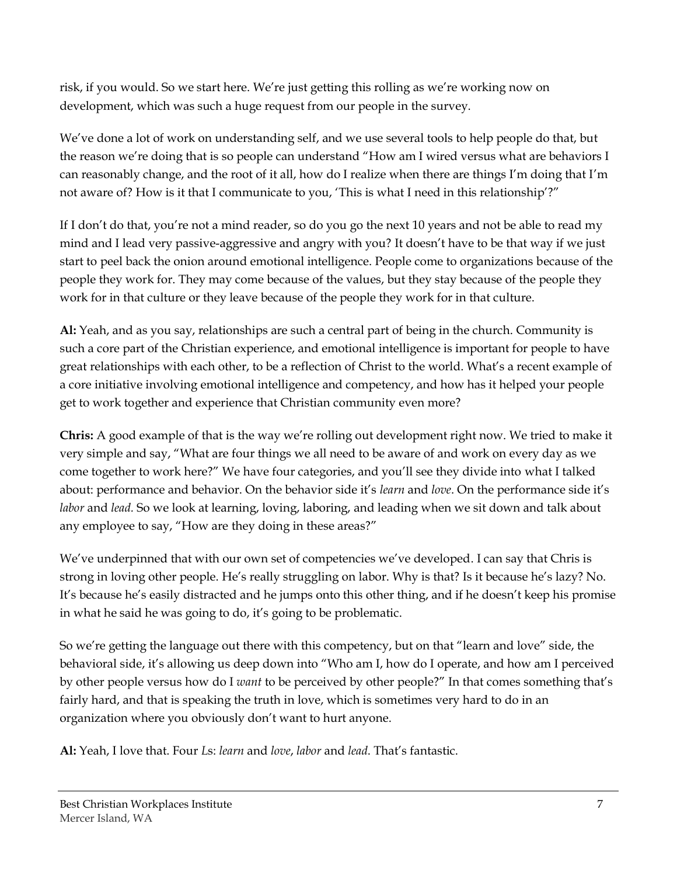risk, if you would. So we start here. We're just getting this rolling as we're working now on development, which was such a huge request from our people in the survey.

We've done a lot of work on understanding self, and we use several tools to help people do that, but the reason we're doing that is so people can understand "How am I wired versus what are behaviors I can reasonably change, and the root of it all, how do I realize when there are things I'm doing that I'm not aware of? How is it that I communicate to you, 'This is what I need in this relationship'?"

If I don't do that, you're not a mind reader, so do you go the next 10 years and not be able to read my mind and I lead very passive-aggressive and angry with you? It doesn't have to be that way if we just start to peel back the onion around emotional intelligence. People come to organizations because of the people they work for. They may come because of the values, but they stay because of the people they work for in that culture or they leave because of the people they work for in that culture.

**Al:** Yeah, and as you say, relationships are such a central part of being in the church. Community is such a core part of the Christian experience, and emotional intelligence is important for people to have great relationships with each other, to be a reflection of Christ to the world. What's a recent example of a core initiative involving emotional intelligence and competency, and how has it helped your people get to work together and experience that Christian community even more?

**Chris:** A good example of that is the way we're rolling out development right now. We tried to make it very simple and say, "What are four things we all need to be aware of and work on every day as we come together to work here?" We have four categories, and you'll see they divide into what I talked about: performance and behavior. On the behavior side it's *learn* and *love*. On the performance side it's *labor* and *lead.* So we look at learning, loving, laboring, and leading when we sit down and talk about any employee to say, "How are they doing in these areas?"

We've underpinned that with our own set of competencies we've developed. I can say that Chris is strong in loving other people. He's really struggling on labor. Why is that? Is it because he's lazy? No. It's because he's easily distracted and he jumps onto this other thing, and if he doesn't keep his promise in what he said he was going to do, it's going to be problematic.

So we're getting the language out there with this competency, but on that "learn and love" side, the behavioral side, it's allowing us deep down into "Who am I, how do I operate, and how am I perceived by other people versus how do I *want* to be perceived by other people?" In that comes something that's fairly hard, and that is speaking the truth in love, which is sometimes very hard to do in an organization where you obviously don't want to hurt anyone.

**Al:** Yeah, I love that. Four *L*s: *learn* and *love*, *labor* and *lead*. That's fantastic.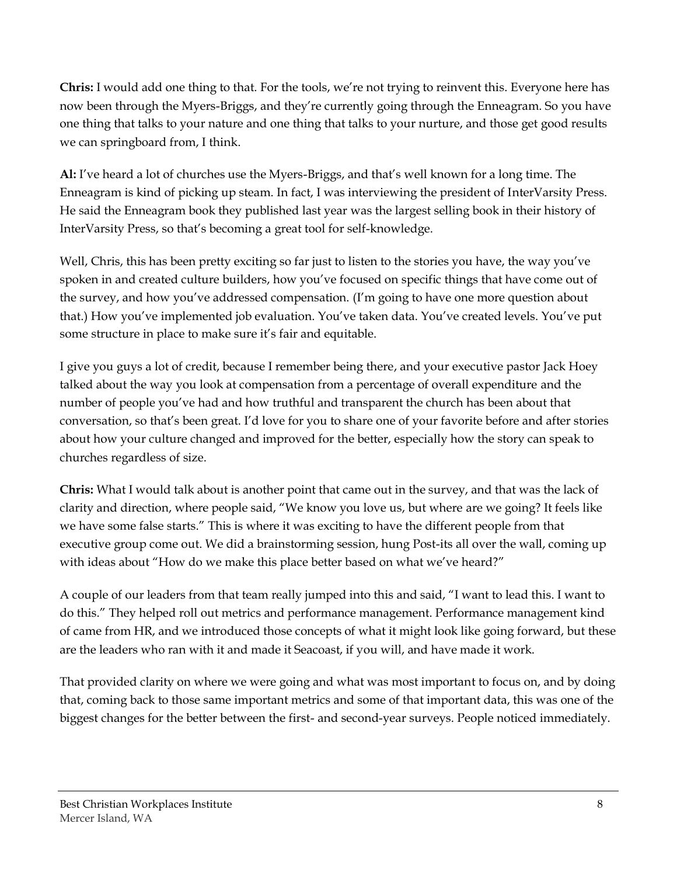**Chris:** I would add one thing to that. For the tools, we're not trying to reinvent this. Everyone here has now been through the Myers-Briggs, and they're currently going through the Enneagram. So you have one thing that talks to your nature and one thing that talks to your nurture, and those get good results we can springboard from, I think.

**Al:** I've heard a lot of churches use the Myers-Briggs, and that's well known for a long time. The Enneagram is kind of picking up steam. In fact, I was interviewing the president of InterVarsity Press. He said the Enneagram book they published last year was the largest selling book in their history of InterVarsity Press, so that's becoming a great tool for self-knowledge.

Well, Chris, this has been pretty exciting so far just to listen to the stories you have, the way you've spoken in and created culture builders, how you've focused on specific things that have come out of the survey, and how you've addressed compensation. (I'm going to have one more question about that.) How you've implemented job evaluation. You've taken data. You've created levels. You've put some structure in place to make sure it's fair and equitable.

I give you guys a lot of credit, because I remember being there, and your executive pastor Jack Hoey talked about the way you look at compensation from a percentage of overall expenditure and the number of people you've had and how truthful and transparent the church has been about that conversation, so that's been great. I'd love for you to share one of your favorite before and after stories about how your culture changed and improved for the better, especially how the story can speak to churches regardless of size.

**Chris:** What I would talk about is another point that came out in the survey, and that was the lack of clarity and direction, where people said, "We know you love us, but where are we going? It feels like we have some false starts." This is where it was exciting to have the different people from that executive group come out. We did a brainstorming session, hung Post-its all over the wall, coming up with ideas about "How do we make this place better based on what we've heard?"

A couple of our leaders from that team really jumped into this and said, "I want to lead this. I want to do this." They helped roll out metrics and performance management. Performance management kind of came from HR, and we introduced those concepts of what it might look like going forward, but these are the leaders who ran with it and made it Seacoast, if you will, and have made it work.

That provided clarity on where we were going and what was most important to focus on, and by doing that, coming back to those same important metrics and some of that important data, this was one of the biggest changes for the better between the first- and second-year surveys. People noticed immediately.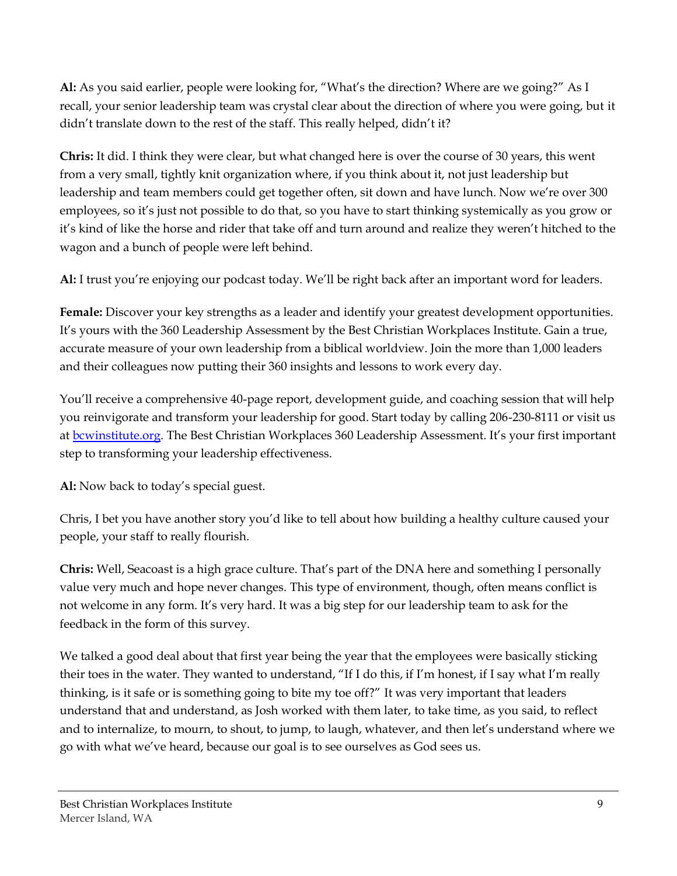**Al:** As you said earlier, people were looking for, "What's the direction? Where are we going?" As I recall, your senior leadership team was crystal clear about the direction of where you were going, but it didn't translate down to the rest of the staff. This really helped, didn't it?

**Chris:** It did. I think they were clear, but what changed here is over the course of 30 years, this went from a very small, tightly knit organization where, if you think about it, not just leadership but leadership and team members could get together often, sit down and have lunch. Now we're over 300 employees, so it's just not possible to do that, so you have to start thinking systemically as you grow or it's kind of like the horse and rider that take off and turn around and realize they weren't hitched to the wagon and a bunch of people were left behind.

**Al:** I trust you're enjoying our podcast today. We'll be right back after an important word for leaders.

**Female:** Discover your key strengths as a leader and identify your greatest development opportunities. It's yours with the 360 Leadership Assessment by the Best Christian Workplaces Institute. Gain a true, accurate measure of your own leadership from a biblical worldview. Join the more than 1,000 leaders and their colleagues now putting their 360 insights and lessons to work every day.

You'll receive a comprehensive 40-page report, development guide, and coaching session that will help you reinvigorate and transform your leadership for good. Start today by calling 206-230-8111 or visit us at [bcwinstitute.org](http://www.bcwinstitute.org/). The Best Christian Workplaces 360 Leadership Assessment. It's your first important step to transforming your leadership effectiveness.

**Al:** Now back to today's special guest.

Chris, I bet you have another story you'd like to tell about how building a healthy culture caused your people, your staff to really flourish.

**Chris:** Well, Seacoast is a high grace culture. That's part of the DNA here and something I personally value very much and hope never changes. This type of environment, though, often means conflict is not welcome in any form. It's very hard. It was a big step for our leadership team to ask for the feedback in the form of this survey.

We talked a good deal about that first year being the year that the employees were basically sticking their toes in the water. They wanted to understand, "If I do this, if I'm honest, if I say what I'm really thinking, is it safe or is something going to bite my toe off?" It was very important that leaders understand that and understand, as Josh worked with them later, to take time, as you said, to reflect and to internalize, to mourn, to shout, to jump, to laugh, whatever, and then let's understand where we go with what we've heard, because our goal is to see ourselves as God sees us.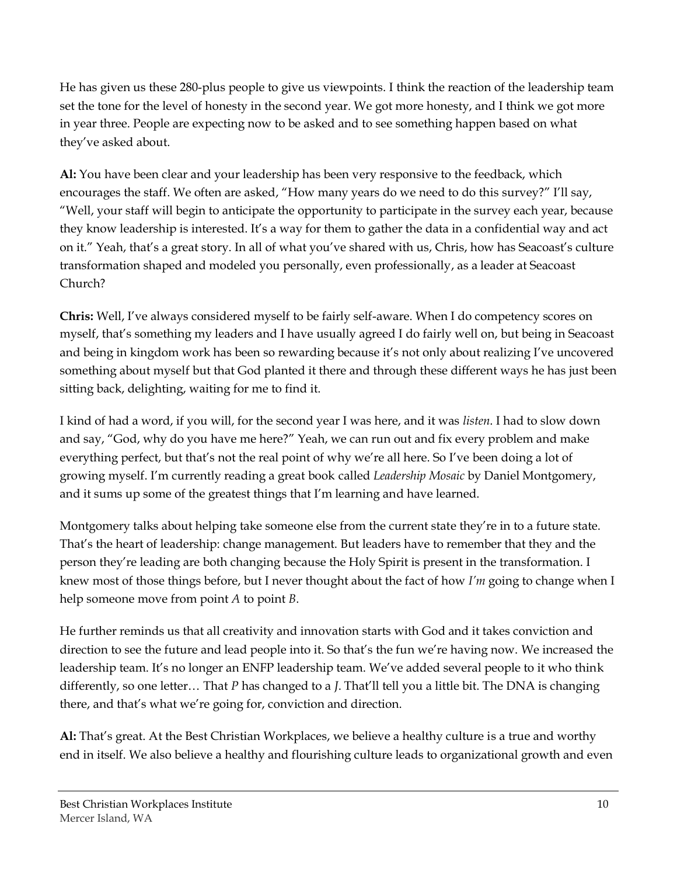He has given us these 280-plus people to give us viewpoints. I think the reaction of the leadership team set the tone for the level of honesty in the second year. We got more honesty, and I think we got more in year three. People are expecting now to be asked and to see something happen based on what they've asked about.

**Al:** You have been clear and your leadership has been very responsive to the feedback, which encourages the staff. We often are asked, "How many years do we need to do this survey?" I'll say, "Well, your staff will begin to anticipate the opportunity to participate in the survey each year, because they know leadership is interested. It's a way for them to gather the data in a confidential way and act on it." Yeah, that's a great story. In all of what you've shared with us, Chris, how has Seacoast's culture transformation shaped and modeled you personally, even professionally, as a leader at Seacoast Church?

**Chris:** Well, I've always considered myself to be fairly self-aware. When I do competency scores on myself, that's something my leaders and I have usually agreed I do fairly well on, but being in Seacoast and being in kingdom work has been so rewarding because it's not only about realizing I've uncovered something about myself but that God planted it there and through these different ways he has just been sitting back, delighting, waiting for me to find it.

I kind of had a word, if you will, for the second year I was here, and it was *listen*. I had to slow down and say, "God, why do you have me here?" Yeah, we can run out and fix every problem and make everything perfect, but that's not the real point of why we're all here. So I've been doing a lot of growing myself. I'm currently reading a great book called *Leadership Mosaic* by Daniel Montgomery, and it sums up some of the greatest things that I'm learning and have learned.

Montgomery talks about helping take someone else from the current state they're in to a future state. That's the heart of leadership: change management. But leaders have to remember that they and the person they're leading are both changing because the Holy Spirit is present in the transformation. I knew most of those things before, but I never thought about the fact of how *I'm* going to change when I help someone move from point *A* to point *B*.

He further reminds us that all creativity and innovation starts with God and it takes conviction and direction to see the future and lead people into it. So that's the fun we're having now. We increased the leadership team. It's no longer an ENFP leadership team. We've added several people to it who think differently, so one letter… That *P* has changed to a *J*. That'll tell you a little bit. The DNA is changing there, and that's what we're going for, conviction and direction.

**Al:** That's great. At the Best Christian Workplaces, we believe a healthy culture is a true and worthy end in itself. We also believe a healthy and flourishing culture leads to organizational growth and even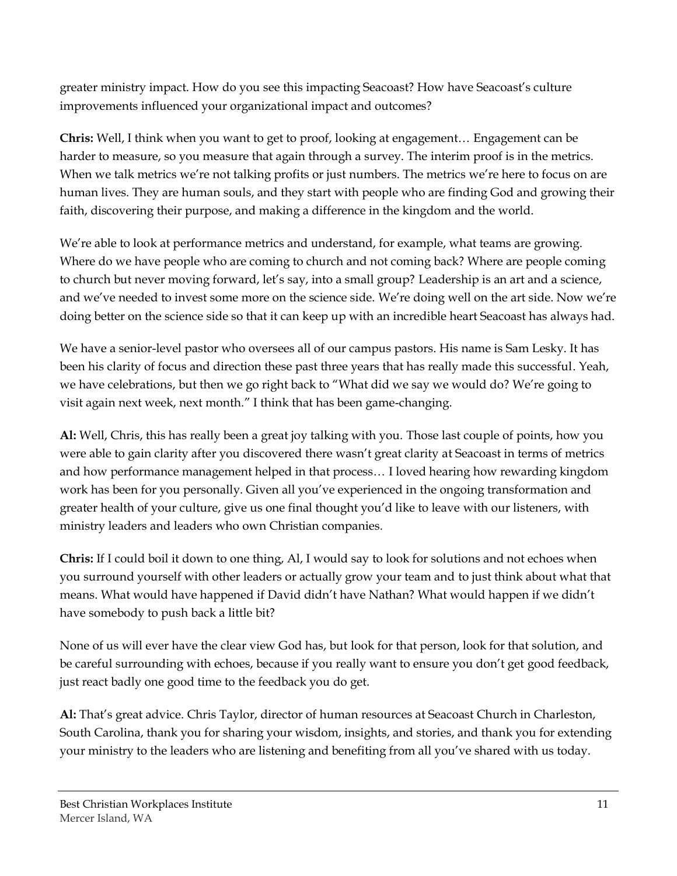greater ministry impact. How do you see this impacting Seacoast? How have Seacoast's culture improvements influenced your organizational impact and outcomes?

**Chris:** Well, I think when you want to get to proof, looking at engagement… Engagement can be harder to measure, so you measure that again through a survey. The interim proof is in the metrics. When we talk metrics we're not talking profits or just numbers. The metrics we're here to focus on are human lives. They are human souls, and they start with people who are finding God and growing their faith, discovering their purpose, and making a difference in the kingdom and the world.

We're able to look at performance metrics and understand, for example, what teams are growing. Where do we have people who are coming to church and not coming back? Where are people coming to church but never moving forward, let's say, into a small group? Leadership is an art and a science, and we've needed to invest some more on the science side. We're doing well on the art side. Now we're doing better on the science side so that it can keep up with an incredible heart Seacoast has always had.

We have a senior-level pastor who oversees all of our campus pastors. His name is Sam Lesky. It has been his clarity of focus and direction these past three years that has really made this successful. Yeah, we have celebrations, but then we go right back to "What did we say we would do? We're going to visit again next week, next month." I think that has been game-changing.

**Al:** Well, Chris, this has really been a great joy talking with you. Those last couple of points, how you were able to gain clarity after you discovered there wasn't great clarity at Seacoast in terms of metrics and how performance management helped in that process… I loved hearing how rewarding kingdom work has been for you personally. Given all you've experienced in the ongoing transformation and greater health of your culture, give us one final thought you'd like to leave with our listeners, with ministry leaders and leaders who own Christian companies.

**Chris:** If I could boil it down to one thing, Al, I would say to look for solutions and not echoes when you surround yourself with other leaders or actually grow your team and to just think about what that means. What would have happened if David didn't have Nathan? What would happen if we didn't have somebody to push back a little bit?

None of us will ever have the clear view God has, but look for that person, look for that solution, and be careful surrounding with echoes, because if you really want to ensure you don't get good feedback, just react badly one good time to the feedback you do get.

**Al:** That's great advice. Chris Taylor, director of human resources at Seacoast Church in Charleston, South Carolina, thank you for sharing your wisdom, insights, and stories, and thank you for extending your ministry to the leaders who are listening and benefiting from all you've shared with us today.